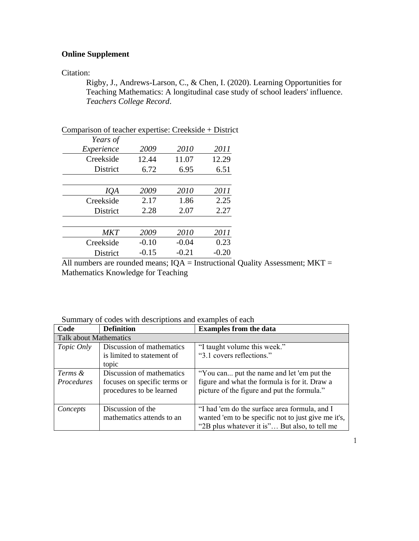## **Online Supplement**

## Citation:

Rigby, J., Andrews-Larson, C., & Chen, I. (2020). Learning Opportunities for Teaching Mathematics: A longitudinal case study of school leaders' influence. *Teachers College Record*.

| Comparison of teacher expertise: Creekside + District |         |         |         |
|-------------------------------------------------------|---------|---------|---------|
| Years of                                              |         |         |         |
| Experience                                            | 2009    | 2010    | 2011    |
| Creekside                                             | 12.44   | 11.07   | 12.29   |
| District                                              | 6.72    | 6.95    | 6.51    |
|                                                       |         |         |         |
| IQA                                                   | 2009    | 2010    | 2011    |
| Creekside                                             | 2.17    | 1.86    | 2.25    |
| District                                              | 2.28    | 2.07    | 2.27    |
|                                                       |         |         |         |
| <b>MKT</b>                                            | 2009    | 2010    | 2011    |
| Creekside                                             | $-0.10$ | $-0.04$ | 0.23    |
| District                                              | $-0.15$ | $-0.21$ | $-0.20$ |

All numbers are rounded means;  $IQA =$  Instructional Quality Assessment;  $MKT =$ Mathematics Knowledge for Teaching

Summary of codes with descriptions and examples of each

| Code                          | <b>Definition</b>            | <b>Examples from the data</b>                       |  |
|-------------------------------|------------------------------|-----------------------------------------------------|--|
| <b>Talk about Mathematics</b> |                              |                                                     |  |
| Topic Only                    | Discussion of mathematics    | "I taught volume this week."                        |  |
|                               | is limited to statement of   | "3.1 covers reflections."                           |  |
|                               | topic                        |                                                     |  |
| Terms &                       | Discussion of mathematics    | "You can put the name and let 'em put the           |  |
| Procedures                    | focuses on specific terms or | figure and what the formula is for it. Draw a       |  |
|                               | procedures to be learned     | picture of the figure and put the formula."         |  |
|                               |                              |                                                     |  |
| Concepts                      | Discussion of the            | "I had 'em do the surface area formula, and I       |  |
|                               | mathematics attends to an    | wanted 'em to be specific not to just give me it's, |  |
|                               |                              | "2B plus whatever it is" But also, to tell me       |  |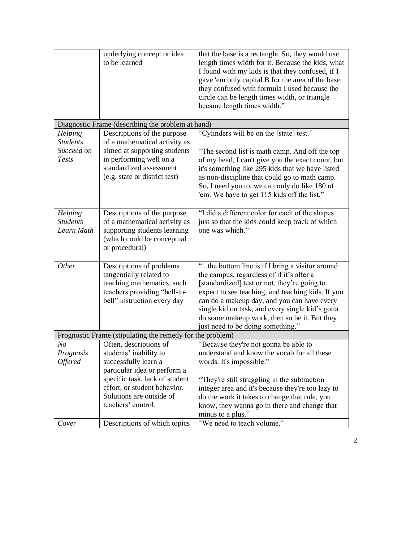|                                                           | underlying concept or idea<br>to be learned                                                                                                          | that the base is a rectangle. So, they would use<br>length times width for it. Because the kids, what<br>I found with my kids is that they confused, if I<br>gave 'em only capital B for the area of the base,<br>they confused with formula I used because the<br>circle can be length times width, or triangle<br>became length times width." |  |  |
|-----------------------------------------------------------|------------------------------------------------------------------------------------------------------------------------------------------------------|-------------------------------------------------------------------------------------------------------------------------------------------------------------------------------------------------------------------------------------------------------------------------------------------------------------------------------------------------|--|--|
| Diagnostic Frame (describing the problem at hand)         |                                                                                                                                                      |                                                                                                                                                                                                                                                                                                                                                 |  |  |
| Helping                                                   | Descriptions of the purpose                                                                                                                          | "Cylinders will be on the [state] test."                                                                                                                                                                                                                                                                                                        |  |  |
| <b>Students</b><br>Succeed on<br><b>Tests</b>             | of a mathematical activity as<br>aimed at supporting students<br>in performing well on a<br>standardized assessment<br>(e.g. state or district test) | "The second list is math camp. And off the top<br>of my head, I can't give you the exact count, but<br>it's something like 295 kids that we have listed<br>as non-discipline that could go to math camp.<br>So, I need you to, we can only do like 180 of<br>'em. We have to get 115 kids off the list."                                        |  |  |
| Helping                                                   | Descriptions of the purpose                                                                                                                          | "I did a different color for each of the shapes                                                                                                                                                                                                                                                                                                 |  |  |
| <b>Students</b><br>Learn Math                             | of a mathematical activity as<br>supporting students learning<br>(which could be conceptual<br>or procedural)                                        | just so that the kids could keep track of which<br>one was which."                                                                                                                                                                                                                                                                              |  |  |
| Other                                                     | Descriptions of problems                                                                                                                             | "the bottom line is if I bring a visitor around                                                                                                                                                                                                                                                                                                 |  |  |
|                                                           | tangentially related to                                                                                                                              | the campus, regardless of if it's after a                                                                                                                                                                                                                                                                                                       |  |  |
|                                                           | teaching mathematics, such                                                                                                                           | [standardized] test or not, they're going to                                                                                                                                                                                                                                                                                                    |  |  |
|                                                           | teachers providing "bell-to-                                                                                                                         | expect to see teaching, and teaching kids. If you                                                                                                                                                                                                                                                                                               |  |  |
|                                                           | bell" instruction every day                                                                                                                          | can do a makeup day, and you can have every<br>single kid on task, and every single kid's gotta                                                                                                                                                                                                                                                 |  |  |
|                                                           |                                                                                                                                                      | do some makeup work, then so be it. But they                                                                                                                                                                                                                                                                                                    |  |  |
|                                                           |                                                                                                                                                      | just need to be doing something."                                                                                                                                                                                                                                                                                                               |  |  |
| Prognostic Frame (stipulating the remedy for the problem) |                                                                                                                                                      |                                                                                                                                                                                                                                                                                                                                                 |  |  |
| N <sub>O</sub>                                            | Often, descriptions of                                                                                                                               | "Because they're not gonna be able to                                                                                                                                                                                                                                                                                                           |  |  |
| Prognosis                                                 | students' inability to                                                                                                                               | understand and know the vocab for all these                                                                                                                                                                                                                                                                                                     |  |  |
| <i><b>Offered</b></i>                                     | successfully learn a                                                                                                                                 | words. It's impossible."                                                                                                                                                                                                                                                                                                                        |  |  |
|                                                           | particular idea or perform a<br>specific task, lack of student                                                                                       |                                                                                                                                                                                                                                                                                                                                                 |  |  |
|                                                           | effort, or student behavior.                                                                                                                         | "They're still struggling in the subtraction<br>integer area and it's because they're too lazy to                                                                                                                                                                                                                                               |  |  |
|                                                           | Solutions are outside of                                                                                                                             | do the work it takes to change that rule, you                                                                                                                                                                                                                                                                                                   |  |  |
|                                                           | teachers' control.                                                                                                                                   | know, they wanna go in there and change that                                                                                                                                                                                                                                                                                                    |  |  |
|                                                           |                                                                                                                                                      | minus to a plus."                                                                                                                                                                                                                                                                                                                               |  |  |
| Cover                                                     | Descriptions of which topics                                                                                                                         | "We need to teach volume."                                                                                                                                                                                                                                                                                                                      |  |  |